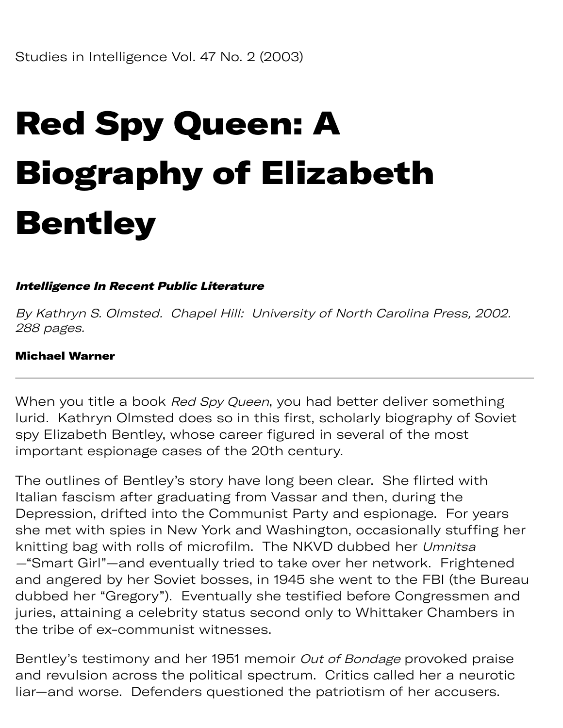# Red Spy Queen: A Biography of Elizabeth Bentley

### Intelligence In Recent Public Literature

By Kathryn S. Olmsted. Chapel Hill: University of North Carolina Press, 2002. 288 pages.

#### Michael Warner

When you title a book Red Spy Queen, you had better deliver something lurid. Kathryn Olmsted does so in this first, scholarly biography of Soviet spy Elizabeth Bentley, whose career figured in several of the most important espionage cases of the 20th century.

The outlines of Bentley's story have long been clear. She flirted with Italian fascism after graduating from Vassar and then, during the Depression, drifted into the Communist Party and espionage. For years she met with spies in New York and Washington, occasionally stuffing her knitting bag with rolls of microfilm. The NKVD dubbed her Umnitsa —"Smart Girl"—and eventually tried to take over her network. Frightened and angered by her Soviet bosses, in 1945 she went to the FBI (the Bureau dubbed her "Gregory"). Eventually she testified before Congressmen and juries, attaining a celebrity status second only to Whittaker Chambers in the tribe of ex-communist witnesses.

Bentley's testimony and her 1951 memoir Out of Bondage provoked praise and revulsion across the political spectrum. Critics called her a neurotic liar—and worse. Defenders questioned the patriotism of her accusers.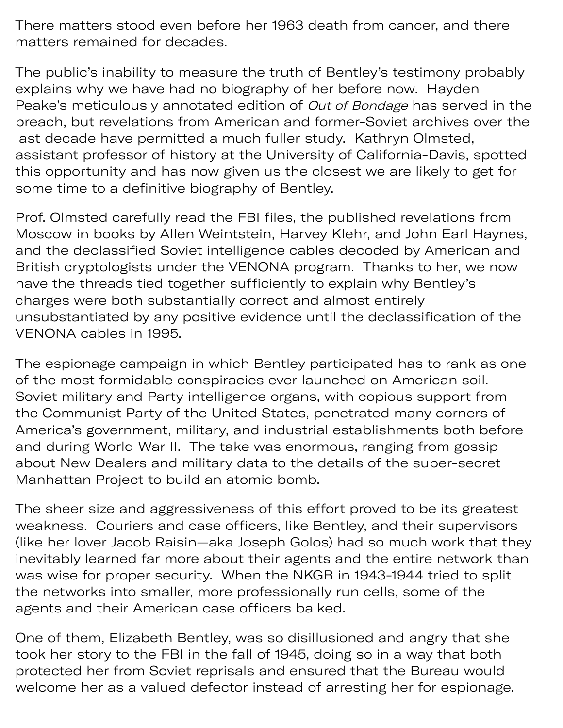There matters stood even before her 1963 death from cancer, and there matters remained for decades.

The public's inability to measure the truth of Bentley's testimony probably explains why we have had no biography of her before now. Hayden Peake's meticulously annotated edition of Out of Bondage has served in the breach, but revelations from American and former-Soviet archives over the last decade have permitted a much fuller study. Kathryn Olmsted, assistant professor of history at the University of California-Davis, spotted this opportunity and has now given us the closest we are likely to get for some time to a definitive biography of Bentley.

Prof. Olmsted carefully read the FBI files, the published revelations from Moscow in books by Allen Weintstein, Harvey Klehr, and John Earl Haynes, and the declassified Soviet intelligence cables decoded by American and British cryptologists under the VENONA program. Thanks to her, we now have the threads tied together sufficiently to explain why Bentley's charges were both substantially correct and almost entirely unsubstantiated by any positive evidence until the declassification of the VENONA cables in 1995.

The espionage campaign in which Bentley participated has to rank as one of the most formidable conspiracies ever launched on American soil. Soviet military and Party intelligence organs, with copious support from the Communist Party of the United States, penetrated many corners of America's government, military, and industrial establishments both before and during World War II. The take was enormous, ranging from gossip about New Dealers and military data to the details of the super-secret Manhattan Project to build an atomic bomb.

The sheer size and aggressiveness of this effort proved to be its greatest weakness. Couriers and case officers, like Bentley, and their supervisors (like her lover Jacob Raisin—aka Joseph Golos) had so much work that they inevitably learned far more about their agents and the entire network than was wise for proper security. When the NKGB in 1943-1944 tried to split the networks into smaller, more professionally run cells, some of the agents and their American case officers balked.

One of them, Elizabeth Bentley, was so disillusioned and angry that she took her story to the FBI in the fall of 1945, doing so in a way that both protected her from Soviet reprisals and ensured that the Bureau would welcome her as a valued defector instead of arresting her for espionage.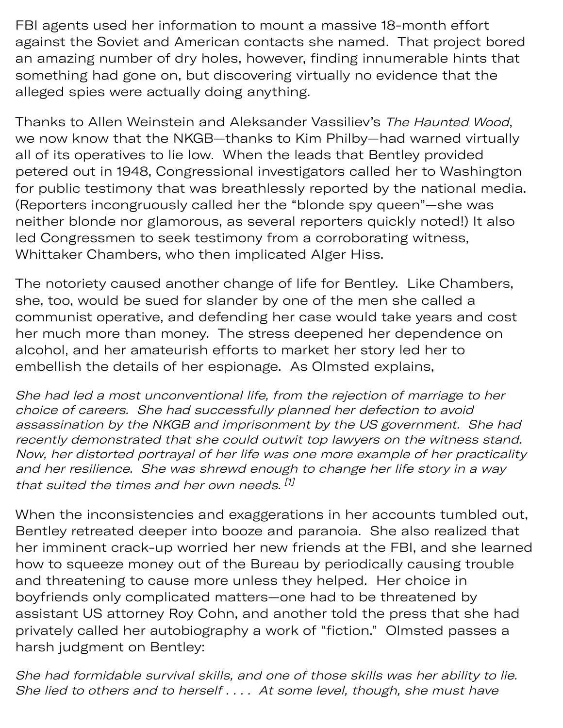FBI agents used her information to mount a massive 18-month effort against the Soviet and American contacts she named. That project bored an amazing number of dry holes, however, finding innumerable hints that something had gone on, but discovering virtually no evidence that the alleged spies were actually doing anything.

Thanks to Allen Weinstein and Aleksander Vassiliev's The Haunted Wood, we now know that the NKGB—thanks to Kim Philby—had warned virtually all of its operatives to lie low. When the leads that Bentley provided petered out in 1948, Congressional investigators called her to Washington for public testimony that was breathlessly reported by the national media. (Reporters incongruously called her the "blonde spy queen"—she was neither blonde nor glamorous, as several reporters quickly noted!) It also led Congressmen to seek testimony from a corroborating witness, Whittaker Chambers, who then implicated Alger Hiss.

The notoriety caused another change of life for Bentley. Like Chambers, she, too, would be sued for slander by one of the men she called a communist operative, and defending her case would take years and cost her much more than money. The stress deepened her dependence on alcohol, and her amateurish efforts to market her story led her to embellish the details of her espionage. As Olmsted explains,

She had led a most unconventional life, from the rejection of marriage to her choice of careers. She had successfully planned her defection to avoid assassination by the NKGB and imprisonment by the US government. She had recently demonstrated that she could outwit top lawyers on the witness stand. Now, her distorted portrayal of her life was one more example of her practicality and her resilience. She was shrewd enough to change her life story in a way that suited the times and her own needs. [1]

When the inconsistencies and exaggerations in her accounts tumbled out, Bentley retreated deeper into booze and paranoia. She also realized that her imminent crack-up worried her new friends at the FBI, and she learned how to squeeze money out of the Bureau by periodically causing trouble and threatening to cause more unless they helped. Her choice in boyfriends only complicated matters—one had to be threatened by assistant US attorney Roy Cohn, and another told the press that she had privately called her autobiography a work of "fiction." Olmsted passes a harsh judgment on Bentley:

She had formidable survival skills, and one of those skills was her ability to lie. She lied to others and to herself . . . . At some level, though, she must have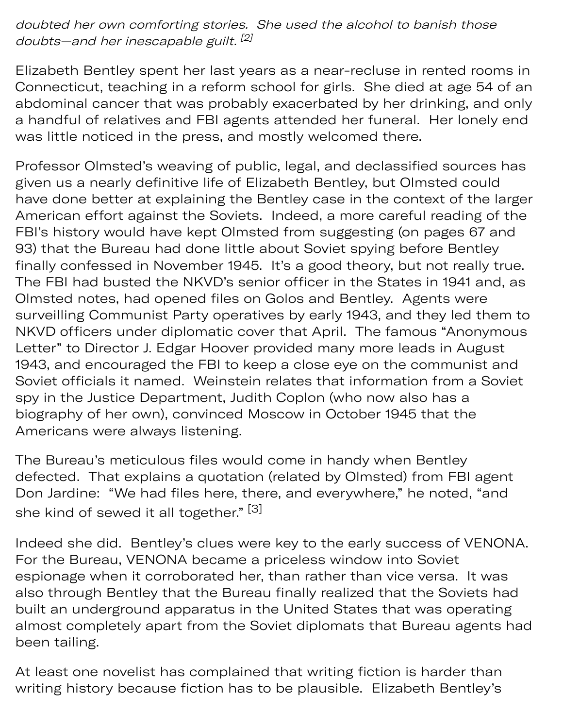## doubted her own comforting stories. She used the alcohol to banish those doubts—and her inescapable guilt.<sup>[2]</sup>

Elizabeth Bentley spent her last years as a near-recluse in rented rooms in Connecticut, teaching in a reform school for girls. She died at age 54 of an abdominal cancer that was probably exacerbated by her drinking, and only a handful of relatives and FBI agents attended her funeral. Her lonely end was little noticed in the press, and mostly welcomed there.

Professor Olmsted's weaving of public, legal, and declassified sources has given us a nearly definitive life of Elizabeth Bentley, but Olmsted could have done better at explaining the Bentley case in the context of the larg er American effort against the Soviets. Indeed, a more careful reading of th e FBI's history would have kept Olmsted from suggesting (on pages 67 and 93) that the Bureau had done little about Soviet spying before Bentley finally confessed in November 1945. It's a good theory, but not really true. The FBI had busted the NKVD's senior officer in the States in 1941 and, as Olmsted notes, had opened files on Golos and Bentley. Agents were surveilling Communist Party operatives by early 1943, and they led them t o NKVD officers under diplomatic cover that April. The famous "Anonymou s Letter" to Director J. Edgar Hoover provided many more leads in August 1943, and encouraged the FBI to keep a close eye on the communist and Soviet officials it named. Weinstein relates that information from a Soviet spy in the Justice Department, Judith Coplon (who now also has a biography of her own), convinced Moscow in October 1945 that the Americans were always listening.

The Bureau's meticulous files would come in handy when Bentley defected. That explains a quotation (related by Olmsted) from FBI agent Don Jardine: "We had files here, there, and everywhere," he noted, "and she kind of sewed it all together." [3]

Indeed she did. Bentley's clues were key to the early success of VENONA. For the Bureau, VENONA became a priceless window into Soviet espionage when it corroborated her, than rather than vice versa. It was also through Bentley that the Bureau finally realized that the Soviets had built an underground apparatus in the United States that was operating almost completely apart from the Soviet diplomats that Bureau agents had been tailing.

At least one novelist has complained that writing fiction is harder than writing history because fiction has to be plausible. Elizabeth Bentley's